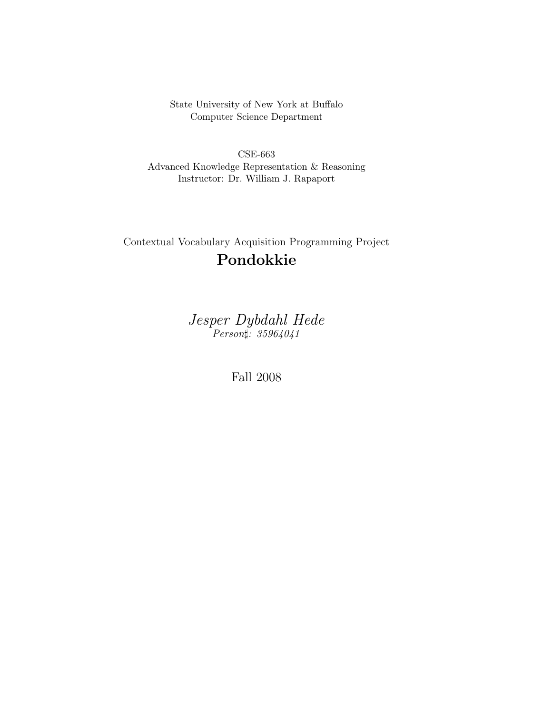State University of New York at Buffalo Computer Science Department

CSE-663 Advanced Knowledge Representation & Reasoning Instructor: Dr. William J. Rapaport

Contextual Vocabulary Acquisition Programming Project Pondokkie

> Jesper Dybdahl Hede Person#: 35964041

> > Fall 2008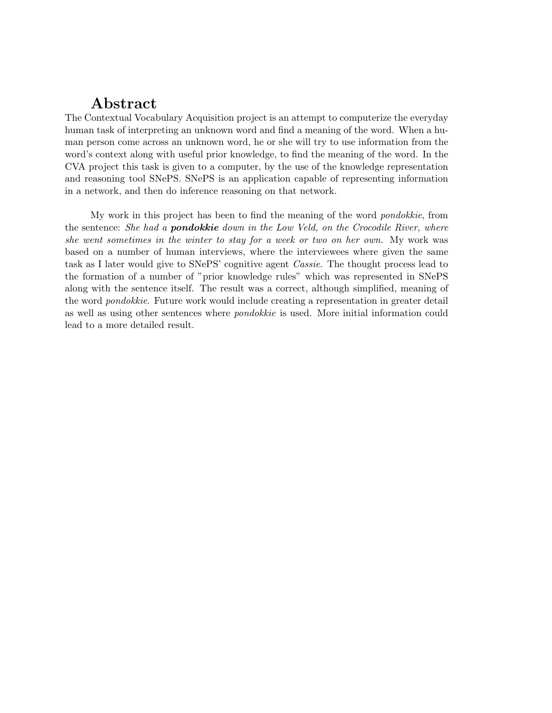# Abstract

The Contextual Vocabulary Acquisition project is an attempt to computerize the everyday human task of interpreting an unknown word and find a meaning of the word. When a human person come across an unknown word, he or she will try to use information from the word's context along with useful prior knowledge, to find the meaning of the word. In the CVA project this task is given to a computer, by the use of the knowledge representation and reasoning tool SNePS. SNePS is an application capable of representing information in a network, and then do inference reasoning on that network.

My work in this project has been to find the meaning of the word pondokkie, from the sentence: She had a **pondokkie** down in the Low Veld, on the Crocodile River, where she went sometimes in the winter to stay for a week or two on her own. My work was based on a number of human interviews, where the interviewees where given the same task as I later would give to SNePS' cognitive agent Cassie. The thought process lead to the formation of a number of "prior knowledge rules" which was represented in SNePS along with the sentence itself. The result was a correct, although simplified, meaning of the word pondokkie. Future work would include creating a representation in greater detail as well as using other sentences where pondokkie is used. More initial information could lead to a more detailed result.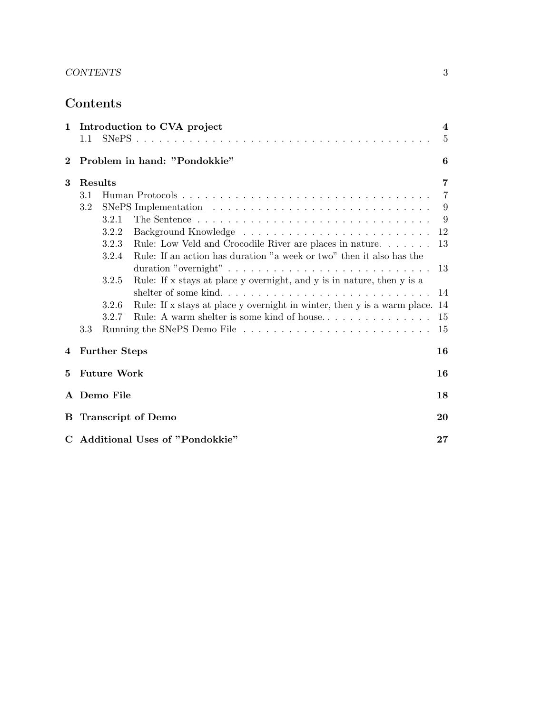## CONTENTS 3

# Contents

|              | 1 Introduction to CVA project    |       |                                                                          | $\overline{\mathbf{4}}$ |
|--------------|----------------------------------|-------|--------------------------------------------------------------------------|-------------------------|
|              | 1.1                              |       |                                                                          | 5                       |
| $\bf{2}$     | Problem in hand: "Pondokkie"     |       |                                                                          | 6                       |
| 3            | Results                          |       |                                                                          | $\overline{7}$          |
|              | 3.1                              |       |                                                                          | $\overline{7}$          |
|              | $3.2\,$                          |       |                                                                          |                         |
|              |                                  | 3.2.1 |                                                                          | - 9                     |
|              |                                  | 3.2.2 |                                                                          | 12                      |
|              |                                  | 3.2.3 | Rule: Low Veld and Crocodile River are places in nature.                 | 13                      |
|              |                                  | 3.2.4 | Rule: If an action has duration "a week or two" then it also has the     |                         |
|              |                                  |       |                                                                          |                         |
|              |                                  | 3.2.5 | Rule: If x stays at place y overnight, and y is in nature, then y is a   |                         |
|              |                                  |       | shelter of some kind                                                     | 14                      |
|              |                                  | 3.2.6 | Rule: If x stays at place y overnight in winter, then y is a warm place. | 14                      |
|              |                                  | 3.2.7 | Rule: A warm shelter is some kind of house                               | 15                      |
|              | 3.3                              |       |                                                                          | 15                      |
|              | 4 Further Steps                  |       | 16                                                                       |                         |
| $\mathbf{5}$ | <b>Future Work</b>               |       | 16                                                                       |                         |
|              | A Demo File                      |       |                                                                          | 18                      |
|              | <b>B</b> Transcript of Demo      |       |                                                                          | 20                      |
|              | C Additional Uses of "Pondokkie" |       |                                                                          | 27                      |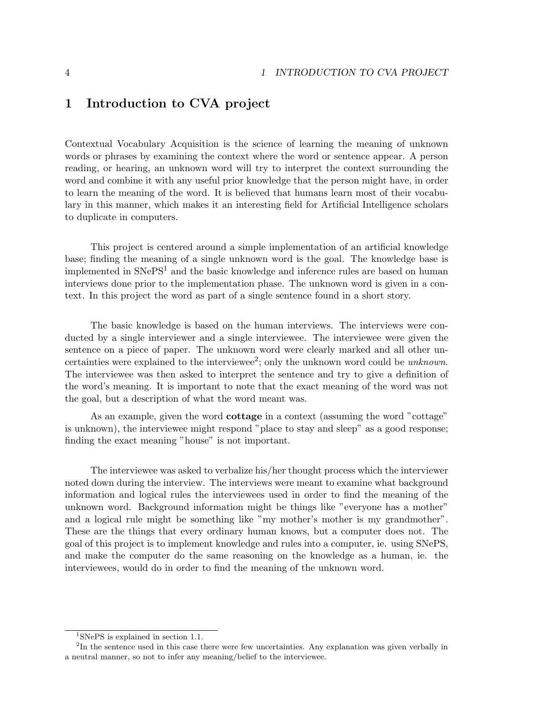## 1 Introduction to CVA project

Contextual Vocabulary Acquisition is the science of learning the meaning of unknown words or phrases by examining the context where the word or sentence appear. A person reading, or hearing, an unknown word will try to interpret the context surrounding the word and combine it with any useful prior knowledge that the person might have, in order to learn the meaning of the word. It is believed that humans learn most of their vocabulary in this manner, which makes it an interesting field for Artificial Intelligence scholars to duplicate in computers.

This project is centered around a simple implementation of an artificial knowledge base; finding the meaning of a single unknown word is the goal. The knowledge base is implemented in SNePS<sup>1</sup> and the basic knowledge and inference rules are based on human interviews done prior to the implementation phase. The unknown word is given in a context. In this project the word as part of a single sentence found in a short story.

The basic knowledge is based on the human interviews. The interviews were conducted by a single interviewer and a single interviewee. The interviewee were given the sentence on a piece of paper. The unknown word were clearly marked and all other uncertainties were explained to the interviewee<sup>2</sup>; only the unknown word could be  $unknown$ . The interviewee was then asked to interpret the sentence and try to give a definition of the word's meaning. It is important to note that the exact meaning of the word was not the goal, but a description of what the word meant was.

As an example, given the word cottage in a context (assuming the word "cottage" is unknown), the interviewee might respond "place to stay and sleep" as a good response; finding the exact meaning "house" is not important.

The interviewee was asked to verbalize his/her thought process which the interviewer noted down during the interview. The interviews were meant to examine what background information and logical rules the interviewees used in order to find the meaning of the unknown word. Background information might be things like "everyone has a mother" and a logical rule might be something like "my mother's mother is my grandmother". These are the things that every ordinary human knows, but a computer does not. The goal of this project is to implement knowledge and rules into a computer, ie. using SNePS, and make the computer do the same reasoning on the knowledge as a human, ie. the interviewees, would do in order to find the meaning of the unknown word.

<sup>1</sup>SNePS is explained in section 1.1.

<sup>&</sup>lt;sup>2</sup>In the sentence used in this case there were few uncertainties. Any explanation was given verbally in a neutral manner, so not to infer any meaning/belief to the interviewee.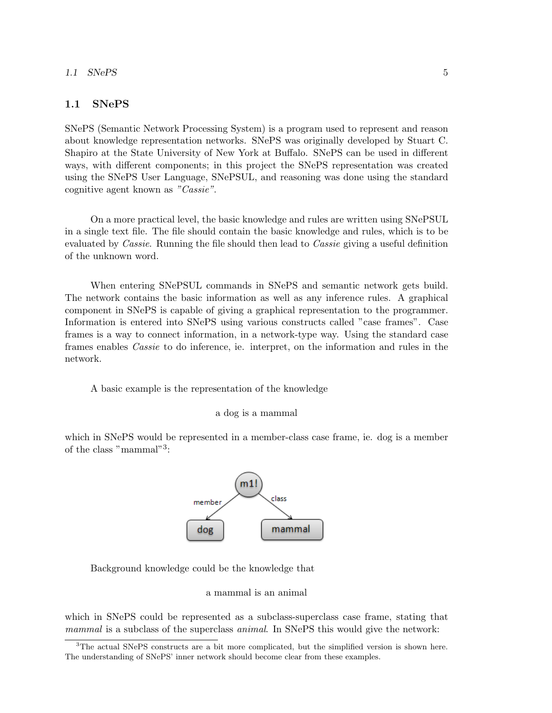### 1.1 SNePS 5

### 1.1 SNePS

SNePS (Semantic Network Processing System) is a program used to represent and reason about knowledge representation networks. SNePS was originally developed by Stuart C. Shapiro at the State University of New York at Buffalo. SNePS can be used in different ways, with different components; in this project the SNePS representation was created using the SNePS User Language, SNePSUL, and reasoning was done using the standard cognitive agent known as "Cassie".

On a more practical level, the basic knowledge and rules are written using SNePSUL in a single text file. The file should contain the basic knowledge and rules, which is to be evaluated by *Cassie*. Running the file should then lead to *Cassie* giving a useful definition of the unknown word.

When entering SNePSUL commands in SNePS and semantic network gets build. The network contains the basic information as well as any inference rules. A graphical component in SNePS is capable of giving a graphical representation to the programmer. Information is entered into SNePS using various constructs called "case frames". Case frames is a way to connect information, in a network-type way. Using the standard case frames enables Cassie to do inference, ie. interpret, on the information and rules in the network.

A basic example is the representation of the knowledge



which in SNePS would be represented in a member-class case frame, ie. dog is a member of the class "mammal"<sup>3</sup>:



Background knowledge could be the knowledge that

### a mammal is an animal

which in SNePS could be represented as a subclass-superclass case frame, stating that mammal is a subclass of the superclass *animal*. In SNePS this would give the network:

<sup>3</sup>The actual SNePS constructs are a bit more complicated, but the simplified version is shown here. The understanding of SNePS' inner network should become clear from these examples.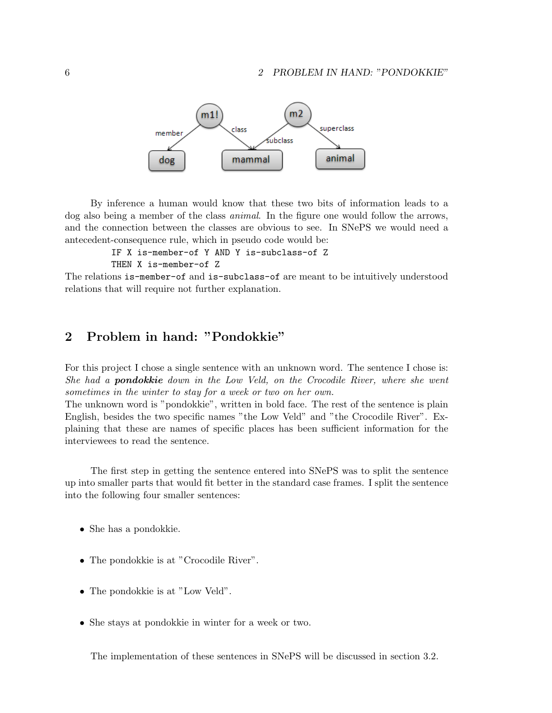

By inference a human would know that these two bits of information leads to a dog also being a member of the class animal. In the figure one would follow the arrows, and the connection between the classes are obvious to see. In SNePS we would need a antecedent-consequence rule, which in pseudo code would be:

> IF X is-member-of Y AND Y is-subclass-of Z THEN X is-member-of Z

The relations is-member-of and is-subclass-of are meant to be intuitively understood relations that will require not further explanation.

## 2 Problem in hand: "Pondokkie"

For this project I chose a single sentence with an unknown word. The sentence I chose is: She had a **pondokkie** down in the Low Veld, on the Crocodile River, where she went sometimes in the winter to stay for a week or two on her own.

The unknown word is "pondokkie", written in bold face. The rest of the sentence is plain English, besides the two specific names "the Low Veld" and "the Crocodile River". Explaining that these are names of specific places has been sufficient information for the interviewees to read the sentence.

The first step in getting the sentence entered into SNePS was to split the sentence up into smaller parts that would fit better in the standard case frames. I split the sentence into the following four smaller sentences:

- She has a pondokkie.
- The pondokkie is at "Crocodile River".
- The pondokkie is at "Low Veld".
- She stays at pondokkie in winter for a week or two.

The implementation of these sentences in SNePS will be discussed in section 3.2.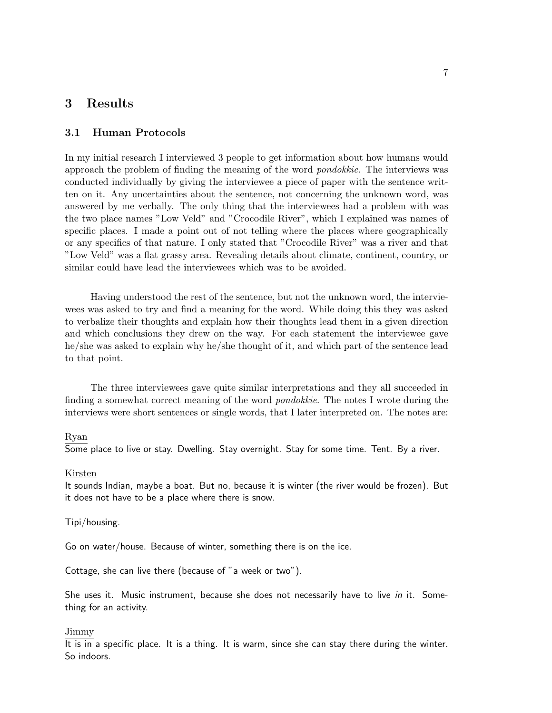## 3 Results

### 3.1 Human Protocols

In my initial research I interviewed 3 people to get information about how humans would approach the problem of finding the meaning of the word pondokkie. The interviews was conducted individually by giving the interviewee a piece of paper with the sentence written on it. Any uncertainties about the sentence, not concerning the unknown word, was answered by me verbally. The only thing that the interviewees had a problem with was the two place names "Low Veld" and "Crocodile River", which I explained was names of specific places. I made a point out of not telling where the places where geographically or any specifics of that nature. I only stated that "Crocodile River" was a river and that "Low Veld" was a flat grassy area. Revealing details about climate, continent, country, or similar could have lead the interviewees which was to be avoided.

Having understood the rest of the sentence, but not the unknown word, the interviewees was asked to try and find a meaning for the word. While doing this they was asked to verbalize their thoughts and explain how their thoughts lead them in a given direction and which conclusions they drew on the way. For each statement the interviewee gave he/she was asked to explain why he/she thought of it, and which part of the sentence lead to that point.

The three interviewees gave quite similar interpretations and they all succeeded in finding a somewhat correct meaning of the word pondokkie. The notes I wrote during the interviews were short sentences or single words, that I later interpreted on. The notes are:

#### Ryan

Some place to live or stay. Dwelling. Stay overnight. Stay for some time. Tent. By a river.

#### Kirsten

It sounds Indian, maybe a boat. But no, because it is winter (the river would be frozen). But it does not have to be a place where there is snow.

#### Tipi/housing.

Go on water/house. Because of winter, something there is on the ice.

Cottage, she can live there (because of "a week or two").

She uses it. Music instrument, because she does not necessarily have to live in it. Something for an activity.

#### Jimmy

It is in a specific place. It is a thing. It is warm, since she can stay there during the winter. So indoors.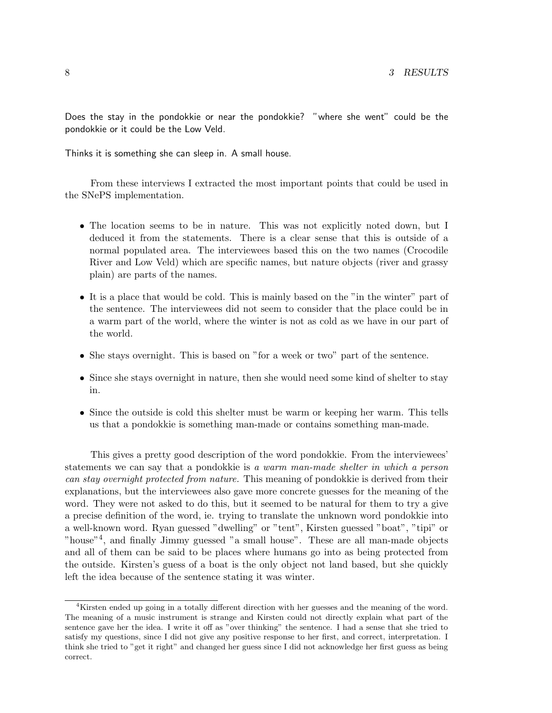Does the stay in the pondokkie or near the pondokkie? "where she went" could be the pondokkie or it could be the Low Veld.

Thinks it is something she can sleep in. A small house.

From these interviews I extracted the most important points that could be used in the SNePS implementation.

- The location seems to be in nature. This was not explicitly noted down, but I deduced it from the statements. There is a clear sense that this is outside of a normal populated area. The interviewees based this on the two names (Crocodile River and Low Veld) which are specific names, but nature objects (river and grassy plain) are parts of the names.
- It is a place that would be cold. This is mainly based on the "in the winter" part of the sentence. The interviewees did not seem to consider that the place could be in a warm part of the world, where the winter is not as cold as we have in our part of the world.
- She stays overnight. This is based on "for a week or two" part of the sentence.
- Since she stays overnight in nature, then she would need some kind of shelter to stay in.
- Since the outside is cold this shelter must be warm or keeping her warm. This tells us that a pondokkie is something man-made or contains something man-made.

This gives a pretty good description of the word pondokkie. From the interviewees' statements we can say that a pondokkie is a warm man-made shelter in which a person can stay overnight protected from nature. This meaning of pondokkie is derived from their explanations, but the interviewees also gave more concrete guesses for the meaning of the word. They were not asked to do this, but it seemed to be natural for them to try a give a precise definition of the word, ie. trying to translate the unknown word pondokkie into a well-known word. Ryan guessed "dwelling" or "tent", Kirsten guessed "boat", "tipi" or "house"<sup>4</sup>, and finally Jimmy guessed "a small house". These are all man-made objects and all of them can be said to be places where humans go into as being protected from the outside. Kirsten's guess of a boat is the only object not land based, but she quickly left the idea because of the sentence stating it was winter.

<sup>4</sup>Kirsten ended up going in a totally different direction with her guesses and the meaning of the word. The meaning of a music instrument is strange and Kirsten could not directly explain what part of the sentence gave her the idea. I write it off as "over thinking" the sentence. I had a sense that she tried to satisfy my questions, since I did not give any positive response to her first, and correct, interpretation. I think she tried to "get it right" and changed her guess since I did not acknowledge her first guess as being correct.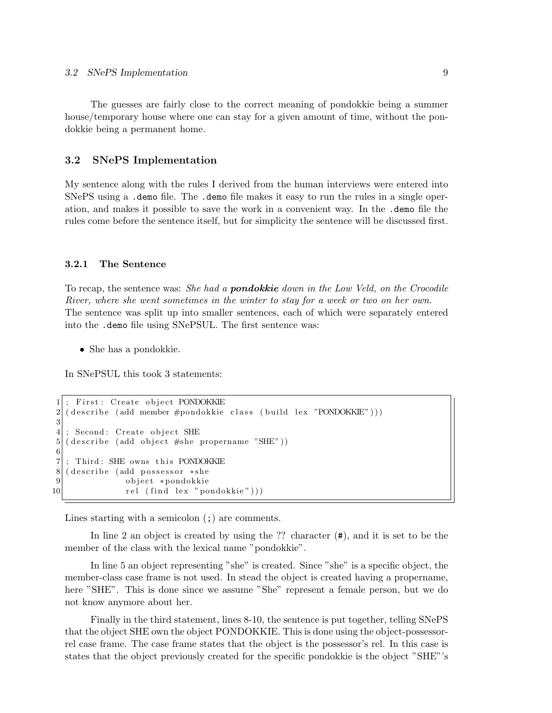The guesses are fairly close to the correct meaning of pondokkie being a summer house/temporary house where one can stay for a given amount of time, without the pondokkie being a permanent home.

### 3.2 SNePS Implementation

My sentence along with the rules I derived from the human interviews were entered into SNePS using a .demo file. The .demo file makes it easy to run the rules in a single operation, and makes it possible to save the work in a convenient way. In the .demo file the rules come before the sentence itself, but for simplicity the sentence will be discussed first.

### 3.2.1 The Sentence

To recap, the sentence was: She had a **pondokkie** down in the Low Veld, on the Crocodile River, where she went sometimes in the winter to stay for a week or two on her own. The sentence was split up into smaller sentences, each of which were separately entered into the .demo file using SNePSUL. The first sentence was:

• She has a pondokkie.

In SNePSUL this took 3 statements:

```
First: Create object PONDOKKIE
2 \mid ( \text{describe (add member \#pondokkie class (build lex "PONDOKKIE")) )})3
4; Second: Create object SHE
5 (describe (add object #she propername "SHE"))
\frac{6}{7}Third: SHE owns this PONDOKKIE
8 (describe (add possessor *she
9 object *pondokkie
10 rel (find lex "pondokkie"))
```
Lines starting with a semicolon  $($ ;  $)$  are comments.

In line 2 an object is created by using the ?? character (#), and it is set to be the member of the class with the lexical name "pondokkie".

In line 5 an object representing "she" is created. Since "she" is a specific object, the member-class case frame is not used. In stead the object is created having a propername, here "SHE". This is done since we assume "She" represent a female person, but we do not know anymore about her.

Finally in the third statement, lines 8-10, the sentence is put together, telling SNePS that the object SHE own the object PONDOKKIE. This is done using the object-possessorrel case frame. The case frame states that the object is the possessor's rel. In this case is states that the object previously created for the specific pondokkie is the object "SHE"'s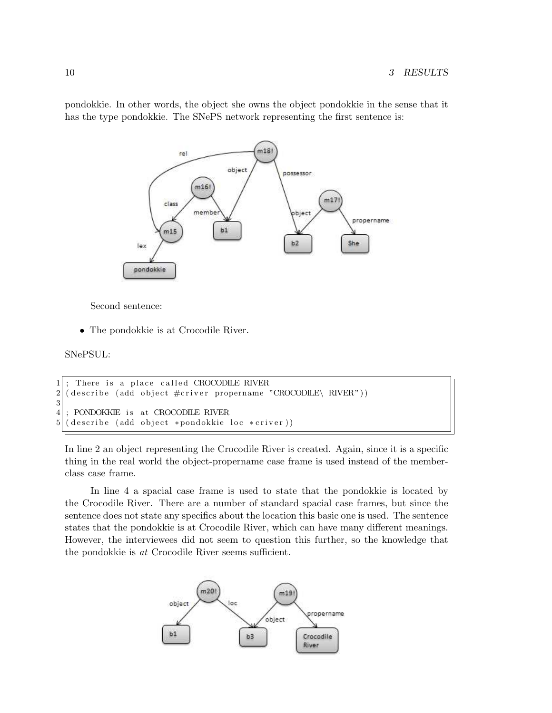pondokkie. In other words, the object she owns the object pondokkie in the sense that it has the type pondokkie. The SNePS network representing the first sentence is:



Second sentence:

• The pondokkie is at Crocodile River.

SNePSUL:

```
1: There is a place called CROCODILE RIVER
2 \mid ( \text{describe (add object \#criver propername "CROCODE} \land \text{RIVER"))} )3
4 ; PONDOKKIE is at CROCODILE RIVER
5 ( describe ( add object *pondokkie loc *criver ) )
```
In line 2 an object representing the Crocodile River is created. Again, since it is a specific thing in the real world the object-propername case frame is used instead of the memberclass case frame.

In line 4 a spacial case frame is used to state that the pondokkie is located by the Crocodile River. There are a number of standard spacial case frames, but since the sentence does not state any specifics about the location this basic one is used. The sentence states that the pondokkie is at Crocodile River, which can have many different meanings. However, the interviewees did not seem to question this further, so the knowledge that the pondokkie is at Crocodile River seems sufficient.

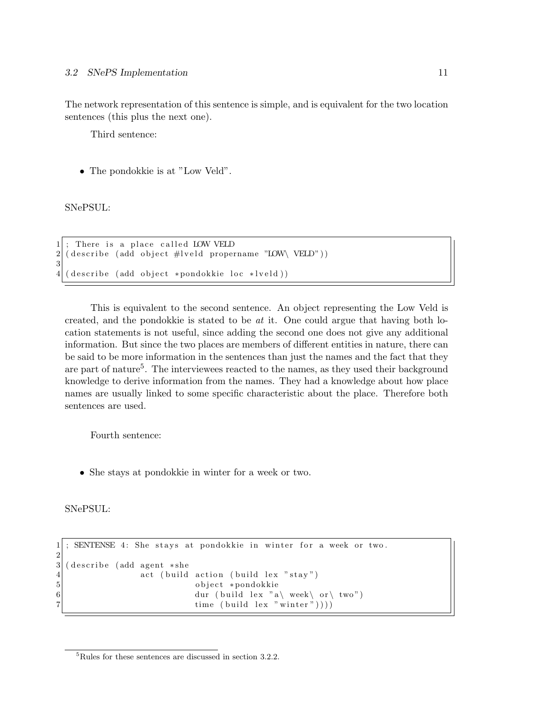The network representation of this sentence is simple, and is equivalent for the two location sentences (this plus the next one).

Third sentence:

• The pondokkie is at "Low Veld".

SNePSUL:

```
There is a place called LOW VELD
2 \mid (\text{describe (add object #lveld propername "LOW\text{ }} VELD"))3
4 \mid ( describe (add object *pondokkie loc *lveld))
```
This is equivalent to the second sentence. An object representing the Low Veld is created, and the pondokkie is stated to be  $at$  it. One could argue that having both location statements is not useful, since adding the second one does not give any additional information. But since the two places are members of different entities in nature, there can be said to be more information in the sentences than just the names and the fact that they are part of nature<sup>5</sup>. The interviewees reacted to the names, as they used their background knowledge to derive information from the names. They had a knowledge about how place names are usually linked to some specific characteristic about the place. Therefore both sentences are used.

Fourth sentence:

• She stays at pondokkie in winter for a week or two.

SNePSUL:

 $\frac{2}{3}$ 

```
1; SENTENSE 4: She stays at pondokkie in winter for a week or two.
  ( describe (add agent *she
4 act (build action (build lex "stay")<br>bject *pondokkie
                         object *pondokkie
6 dur ( build lex "a\ week\ or \ two" )
7 time ( build lex " winter " ) ) ) )
```
<sup>5</sup>Rules for these sentences are discussed in section 3.2.2.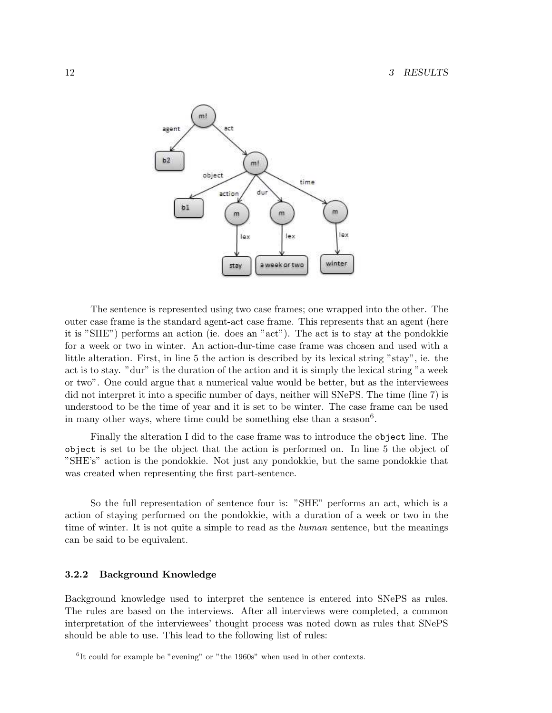

The sentence is represented using two case frames; one wrapped into the other. The outer case frame is the standard agent-act case frame. This represents that an agent (here it is "SHE") performs an action (ie. does an "act"). The act is to stay at the pondokkie for a week or two in winter. An action-dur-time case frame was chosen and used with a little alteration. First, in line 5 the action is described by its lexical string "stay", ie. the act is to stay. "dur" is the duration of the action and it is simply the lexical string "a week or two". One could argue that a numerical value would be better, but as the interviewees did not interpret it into a specific number of days, neither will SNePS. The time (line 7) is understood to be the time of year and it is set to be winter. The case frame can be used in many other ways, where time could be something else than a season<sup>6</sup>.

Finally the alteration I did to the case frame was to introduce the object line. The object is set to be the object that the action is performed on. In line 5 the object of "SHE's" action is the pondokkie. Not just any pondokkie, but the same pondokkie that was created when representing the first part-sentence.

So the full representation of sentence four is: "SHE" performs an act, which is a action of staying performed on the pondokkie, with a duration of a week or two in the time of winter. It is not quite a simple to read as the *human* sentence, but the meanings can be said to be equivalent.

### 3.2.2 Background Knowledge

Background knowledge used to interpret the sentence is entered into SNePS as rules. The rules are based on the interviews. After all interviews were completed, a common interpretation of the interviewees' thought process was noted down as rules that SNePS should be able to use. This lead to the following list of rules:

<sup>&</sup>lt;sup>6</sup>It could for example be "evening" or "the 1960s" when used in other contexts.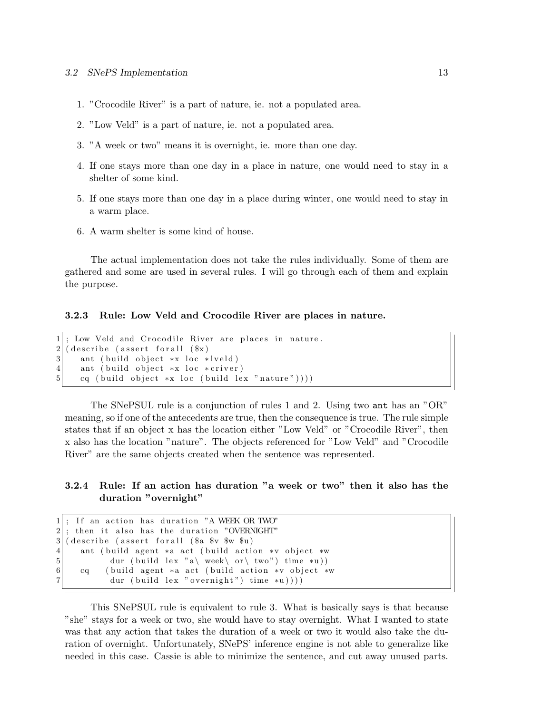- 1. "Crocodile River" is a part of nature, ie. not a populated area.
- 2. "Low Veld" is a part of nature, ie. not a populated area.
- 3. "A week or two" means it is overnight, ie. more than one day.
- 4. If one stays more than one day in a place in nature, one would need to stay in a shelter of some kind.
- 5. If one stays more than one day in a place during winter, one would need to stay in a warm place.
- 6. A warm shelter is some kind of house.

The actual implementation does not take the rules individually. Some of them are gathered and some are used in several rules. I will go through each of them and explain the purpose.

3.2.3 Rule: Low Veld and Crocodile River are places in nature.

```
1 ; Low Veld and Crocodile River are places in nature.
2 \mid ( describe (assert for all (\frac{2}{3}x)3 ant ( build object *x loc *l veld )
4 ant ( build object *x loc *criver)
5 cq ( build object *x loc ( build lex " nature " ) ) )
```
The SNePSUL rule is a conjunction of rules 1 and 2. Using two ant has an "OR" meaning, so if one of the antecedents are true, then the consequence is true. The rule simple states that if an object x has the location either "Low Veld" or "Crocodile River", then x also has the location "nature". The objects referenced for "Low Veld" and "Crocodile River" are the same objects created when the sentence was represented.

### 3.2.4 Rule: If an action has duration "a week or two" then it also has the duration "overnight"

```
If an action has duration "A WEEK OR TWO"
2; then it also has the duration "OVERNIGHT"
3 (describe (assert for all ($a $v $w $u)
4 ant (build agent *a act (build action *v object *w
5 dur ( build lex " a\ week\ or \ two" ) time *u ) )
6 cq ( build agent *a act ( build action *v object *w
           dur ( build lex " overnight") time *u) ) ) )
```
This SNePSUL rule is equivalent to rule 3. What is basically says is that because "she" stays for a week or two, she would have to stay overnight. What I wanted to state was that any action that takes the duration of a week or two it would also take the duration of overnight. Unfortunately, SNePS' inference engine is not able to generalize like needed in this case. Cassie is able to minimize the sentence, and cut away unused parts.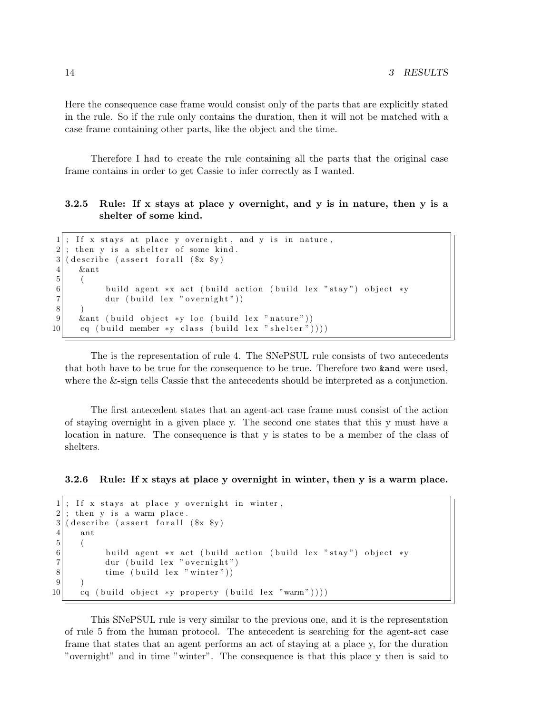Here the consequence case frame would consist only of the parts that are explicitly stated in the rule. So if the rule only contains the duration, then it will not be matched with a case frame containing other parts, like the object and the time.

Therefore I had to create the rule containing all the parts that the original case frame contains in order to get Cassie to infer correctly as I wanted.

### 3.2.5 Rule: If x stays at place y overnight, and y is in nature, then y is a shelter of some kind.

```
1; If x stays at place y overnight, and y is in nature,
2; then y is a shelter of some kind.
3 (describe (assert for all (\text{sx } \text{sy})4 &ant
5 (
6 build agent *x act (build action (build lex "stay") object *y<br>
7 dur (build lex "overnight"))
            dur ( build lex " overnight" ) )
8 )
9 \&ant ( build object *y loc ( build lex " nature"))
10 cq ( build member *y class ( build lex " shelter ") ))
```
The is the representation of rule 4. The SNePSUL rule consists of two antecedents that both have to be true for the consequence to be true. Therefore two &and were used, where the &-sign tells Cassie that the antecedents should be interpreted as a conjunction.

The first antecedent states that an agent-act case frame must consist of the action of staying overnight in a given place y. The second one states that this y must have a location in nature. The consequence is that y is states to be a member of the class of shelters.

### 3.2.6 Rule: If x stays at place y overnight in winter, then y is a warm place.

```
1; If x stays at place y overnight in winter,
2 ; then y is a warm place.
3 (describe (assert for all (\text{sx } \text{sy})4 ant
\begin{bmatrix} 5 \\ 6 \end{bmatrix} (
            build agent *x act ( build action ( build lex " stay") object *y
7 dur ( build lex " overnight")
8 time ( build lex " winter" )
9 )
10 cq ( build object *y property ( build lex "warm" ) ) ) )
```
This SNePSUL rule is very similar to the previous one, and it is the representation of rule 5 from the human protocol. The antecedent is searching for the agent-act case frame that states that an agent performs an act of staying at a place y, for the duration "overnight" and in time "winter". The consequence is that this place y then is said to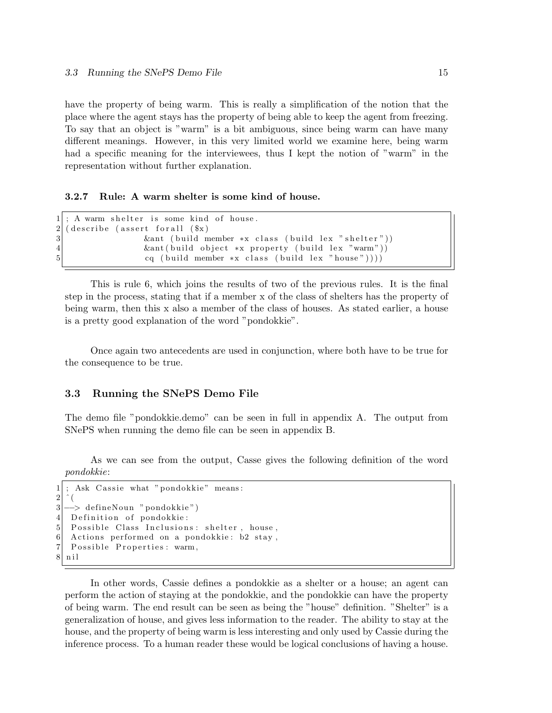have the property of being warm. This is really a simplification of the notion that the place where the agent stays has the property of being able to keep the agent from freezing. To say that an object is "warm" is a bit ambiguous, since being warm can have many different meanings. However, in this very limited world we examine here, being warm had a specific meaning for the interviewees, thus I kept the notion of "warm" in the representation without further explanation.

#### 3.2.7 Rule: A warm shelter is some kind of house.

```
1; A warm shelter is some kind of house.
2/ ( describe (assert for all (\frac{2}{3}x)3 8 &ant ( build member *x class ( build lex " shelter " ) )
4 8 &ant ( build object *x property ( build lex "warm" ) )
5 cq ( build member *x class ( build lex " house " ) ) )
```
This is rule 6, which joins the results of two of the previous rules. It is the final step in the process, stating that if a member x of the class of shelters has the property of being warm, then this x also a member of the class of houses. As stated earlier, a house is a pretty good explanation of the word "pondokkie".

Once again two antecedents are used in conjunction, where both have to be true for the consequence to be true.

### 3.3 Running the SNePS Demo File

The demo file "pondokkie.demo" can be seen in full in appendix A. The output from SNePS when running the demo file can be seen in appendix B.

As we can see from the output, Casse gives the following definition of the word pondokkie:

```
1; Ask Cassie what "pondokkie" means:
\overline{2}3 → defineNoun "pondokkie")
4 Definition of pondokkie:
5 Possible Class Inclusions: shelter, house,
6 Actions performed on a pondokkie: b2 stay,
7 Possible Properties: warm,
8 n i l
```
In other words, Cassie defines a pondokkie as a shelter or a house; an agent can perform the action of staying at the pondokkie, and the pondokkie can have the property of being warm. The end result can be seen as being the "house" definition. "Shelter" is a generalization of house, and gives less information to the reader. The ability to stay at the house, and the property of being warm is less interesting and only used by Cassie during the inference process. To a human reader these would be logical conclusions of having a house.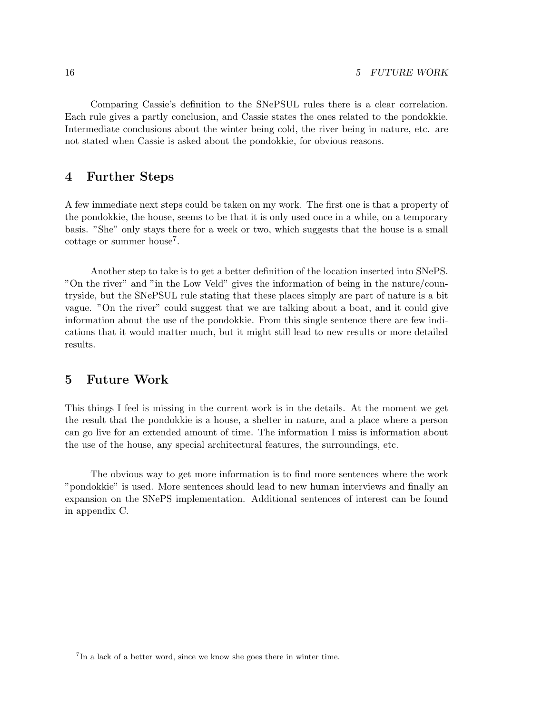Comparing Cassie's definition to the SNePSUL rules there is a clear correlation. Each rule gives a partly conclusion, and Cassie states the ones related to the pondokkie. Intermediate conclusions about the winter being cold, the river being in nature, etc. are not stated when Cassie is asked about the pondokkie, for obvious reasons.

### 4 Further Steps

A few immediate next steps could be taken on my work. The first one is that a property of the pondokkie, the house, seems to be that it is only used once in a while, on a temporary basis. "She" only stays there for a week or two, which suggests that the house is a small  $\cot$ tage or summer house<sup>7</sup>.

Another step to take is to get a better definition of the location inserted into SNePS. "On the river" and "in the Low Veld" gives the information of being in the nature/countryside, but the SNePSUL rule stating that these places simply are part of nature is a bit vague. "On the river" could suggest that we are talking about a boat, and it could give information about the use of the pondokkie. From this single sentence there are few indications that it would matter much, but it might still lead to new results or more detailed results.

## 5 Future Work

This things I feel is missing in the current work is in the details. At the moment we get the result that the pondokkie is a house, a shelter in nature, and a place where a person can go live for an extended amount of time. The information I miss is information about the use of the house, any special architectural features, the surroundings, etc.

The obvious way to get more information is to find more sentences where the work "pondokkie" is used. More sentences should lead to new human interviews and finally an expansion on the SNePS implementation. Additional sentences of interest can be found in appendix C.

<sup>&</sup>lt;sup>7</sup>In a lack of a better word, since we know she goes there in winter time.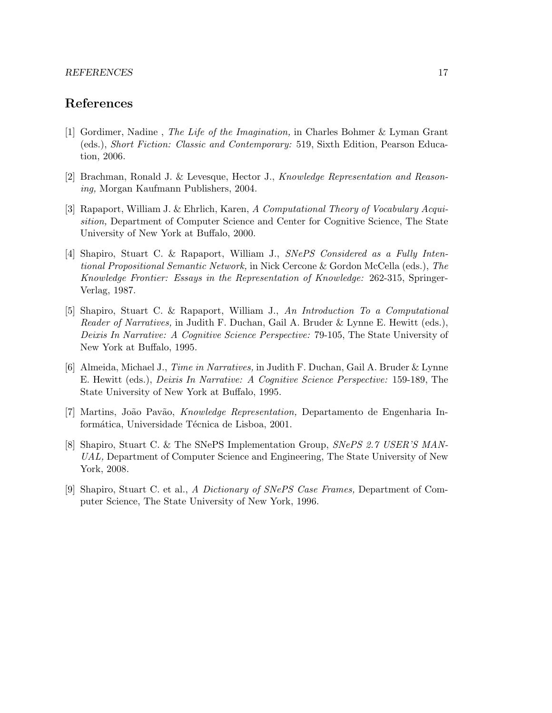#### REFERENCES 17

# References

- [1] Gordimer, Nadine , The Life of the Imagination, in Charles Bohmer & Lyman Grant (eds.), Short Fiction: Classic and Contemporary: 519, Sixth Edition, Pearson Education, 2006.
- [2] Brachman, Ronald J. & Levesque, Hector J., Knowledge Representation and Reasoning, Morgan Kaufmann Publishers, 2004.
- [3] Rapaport, William J. & Ehrlich, Karen, A Computational Theory of Vocabulary Acquisition, Department of Computer Science and Center for Cognitive Science, The State University of New York at Buffalo, 2000.
- [4] Shapiro, Stuart C. & Rapaport, William J., SNePS Considered as a Fully Intentional Propositional Semantic Network, in Nick Cercone & Gordon McCella (eds.), The Knowledge Frontier: Essays in the Representation of Knowledge: 262-315, Springer-Verlag, 1987.
- [5] Shapiro, Stuart C. & Rapaport, William J., An Introduction To a Computational Reader of Narratives, in Judith F. Duchan, Gail A. Bruder & Lynne E. Hewitt (eds.), Deixis In Narrative: A Cognitive Science Perspective: 79-105, The State University of New York at Buffalo, 1995.
- [6] Almeida, Michael J., Time in Narratives, in Judith F. Duchan, Gail A. Bruder & Lynne E. Hewitt (eds.), Deixis In Narrative: A Cognitive Science Perspective: 159-189, The State University of New York at Buffalo, 1995.
- [7] Martins, Jo˜ao Pav˜ao, Knowledge Representation, Departamento de Engenharia Informática, Universidade Técnica de Lisboa, 2001.
- [8] Shapiro, Stuart C. & The SNePS Implementation Group, SNePS 2.7 USER'S MAN-UAL, Department of Computer Science and Engineering, The State University of New York, 2008.
- [9] Shapiro, Stuart C. et al., A Dictionary of SNePS Case Frames, Department of Computer Science, The State University of New York, 1996.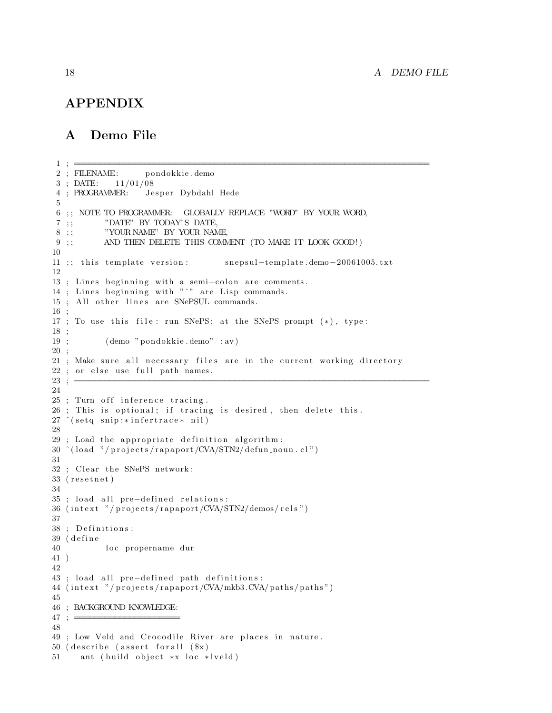## APPENDIX

## A Demo File

```
2 ; FILENAME: pondokkie . demo
3 : \text{DATE:} \quad 11/01/084 ; PROGRAMMER: Jesper Dybdahl Hede
5
6 ; ; NOTE TO PROGRAMMER: GLOBALLY REPLACE "WORD" BY YOUR WORD,
7 ;<br> ;<br> \hfill "DATE" BY TODAY'S DATE,
8 ;; "YOUR NAME" BY YOUR NAME.
9 ;; AND THEN DELETE THIS COMMENT (TO MAKE IT LOOK GOOD!)
10
11 ;; this template version: snepsul-template.demo-20061005.txt
12
13 ; Lines beginning with a semi-colon are comments.
14 ; Lines beginning with "^" are Lisp commands.
15 ; All other lines are SNePSUL commands.
16 ;
17 ; To use this file: run SNePS; at the SNePS prompt (*), type:
18 ;
19 ; ( demo " pondokkie . demo" : av )
20 ;
21 ; Make sure all necessary files are in the current working directory
22 ; or else use full path names.
23 ; \equiv24
25 ; Turn off inference tracing.
26 ; This is optional; if tracing is desired, then delete this.
27 \text{ (setq snip:} * inference * nil)28
29 ; Load the appropriate definition algorithm:
30 \text{ (load } \text{"} / \text{ projects / rapport /CVA/STN2 / defun-noun. cl"})31
32 ; Clear the SNePS network:
33 (resetnet)
34
35 ; load all pre-defined relations:
36 (intext "/projects/rapaport/CVA/STN2/demos/rels")
37
38 ; Definitions:
39 (define
40 loc propername dur
41 )
42
43 ; load all pre-defined path definitions:
44 (intext "/projects/rapaport/CVA/mkb3.CVA/paths/paths")
45
46 ; BACKGROUND KNOWLEDGE:
47 : =48
49 ; Low Veld and Crocodile River are places in nature.
50 (describe (assert for all (\$x)51 ant ( build object *x loc *lveld)
```
1 ; =======================================================================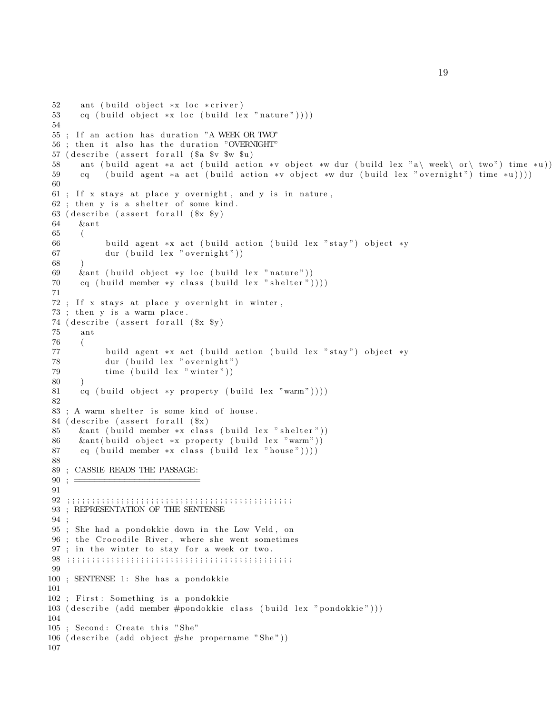```
52 ant ( build object *x loc *criver)
53 cq ( build object *x loc ( build lex " nature " ) ) )
54
55 ; If an action has duration "A WEEK OR TWO"
56 ; then it also has the duration "OVERNIGHT"
57 ( describe (assert for all (\text{\$a \$v \$w \$u})58 ant ( build agent *a act ( build action *v object *w dur ( build lex "a\ week\ or \ two") time *u))
59 cq ( build agent *a act ( build action *v object *w dur ( build lex " overnight") time *u) ) )
60
61 ; If x stays at place y overnight, and y is in nature,
62; then y is a shelter of some kind.
63 ( describe ( assert for all ($x \ $y)64 &ant
65 (
66 build agent *x act (build action (build lex "stay") object *y
67 dur ( build lex " overnight" ) )
68 )
69 & &ant ( build object *y loc ( build lex " nature" ))
70 cq ( build member *y class ( build lex " shelter " ) ) ) )
71
72 ; If x stays at place y overnight in winter,
73 ; then y is a warm place.
74 ( describe ( assert for all ($x \ $y)75 ant
76 (
77 build agent *x act (build action (build lex "stay") object *y
78 dur ( build lex " overnight")
79 time ( build lex " winter" ))
80 )
81 cq ( build object *y property ( build lex "warm" ) ) ) )
82
83 ; A warm shelter is some kind of house.
84 ( describe ( assert for all (\$x)85 & & ant ( build member * x class ( build lex " shelter " ) )
86 &ant ( build object *x property ( build lex "warm"))
87 cq ( build member *x class ( build lex " house") ) ) )
88
89 ; CASSIE READS THE PASSAGE:
90; =91
92 ; ; ; ; ; ; ; ; ; ; ; ; ; ; ; ; ; ; ; ; ; ; ; ; ; ; ; ; ; ; ; ; ; ; ; ; ; ; ; ; ; ; ; ; ; ;
93 ; REPRESENTATION OF THE SENTENSE
94 ;
95 ; She had a pondokkie down in the Low Veld, on
96 ; the Crocodile River, where she went sometimes
97 ; in the winter to stay for a week or two.
98 ; ; ; ; ; ; ; ; ; ; ; ; ; ; ; ; ; ; ; ; ; ; ; ; ; ; ; ; ; ; ; ; ; ; ; ; ; ; ; ; ; ; ; ; ; ;
99
100 ; SENTENSE 1: She has a pondokkie
101
102 ; First: Something is a pondokkie
103 ( describe ( add member #pondokkie class ( build lex " pondokkie" ) ) )
104
105 ; Second: Create this "She"
106 ( describe ( add object #she propername "She" ) )
107
```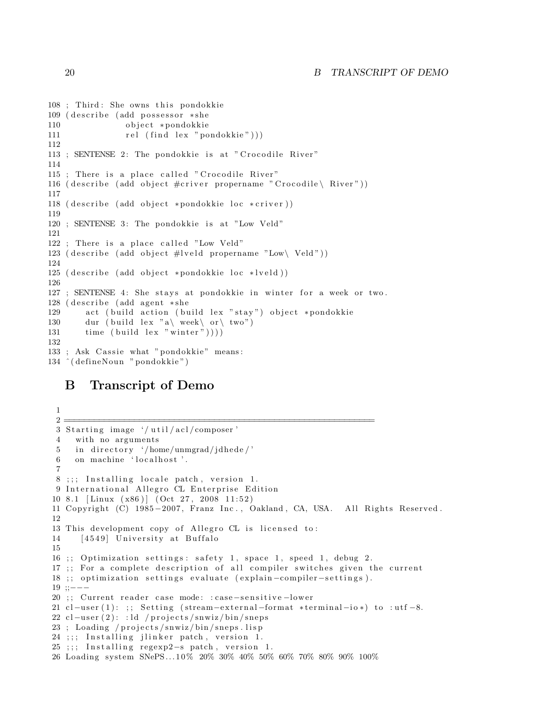```
108 ; Third: She owns this pondokkie
109 ( describe (add possessor *she
110 object ∗pondokkie
111 rel (find lex "pondokkie"))
112
113 ; SENTENSE 2: The pondokkie is at "Crocodile River"
114
115 ; There is a place called " Crocodile River"
116 ( describe ( add object \#\text{criver} propername " Crocodile \ River" ) )
117
118 ( describe ( add object *pondokkie loc *criver ) )
119
120 ; SENTENSE 3: The pondokkie is at "Low Veld"
121
122 ; There is a place called "Low Veld"
123 ( describe ( add object #lveld propername "Low\ Veld"))
124
125 ( describe ( add object *pondokkie loc *lveld ) )
126
127 ; SENTENSE 4: She stays at pondokkie in winter for a week or two.
128 ( describe (add agent *she
129 act (build action (build lex "stay") object *pondokkie
130 dur ( build lex "a\ week\ or \ two" )
131 time ( build lex " winter " )))
132
133 ; Ask Cassie what "pondokkie" means:
134 ^(defineNoun "pondokkie")
```
## B Transcript of Demo

```
1
 \frac{2}{\frac{1}{2}}3 Starting image '/util/acl/composer'
4 with no arguments
5 in directory '/home/unmgrad/jdhede/'
6 on machine 'localhost'.
 7
8 ;;; Installing locale patch, version 1.
9 International Allegro CL Enterprise Edition
10 8.1 [Linux (x86)] (Oct 27, 2008 11:52)
11 Copyright (C) 1985-2007, Franz Inc., Oakland, CA, USA. All Rights Reserved.
12
13 This development copy of Allegro CL is licensed to:
14 [ 4549] University at Buffalo
15
16 ;; Optimization settings: safety 1, space 1, speed 1, debug 2.
17 ;; For a complete description of all compiler switches given the current
18 ;; optimization settings evaluate (explain-compiler-settings).
19 ;;−−−
20 ;; Current reader case mode: : case-sensitive-lower
21 cl-user (1): ;; Setting (stream-external-format *terminal-io*) to :utf-8.
22 cl−user (2): : ld / projects/snwiz/bin/sneps
23; Loading / projects/snwiz/bin/sneps.lisp
24 ;;; Installing jlinker patch, version 1.
25 ;;; Installing regexp2-s patch, version 1.
26 Loading system SNePS... 1 0% 20% 30% 40% 50% 60% 70% 80% 90% 100%
```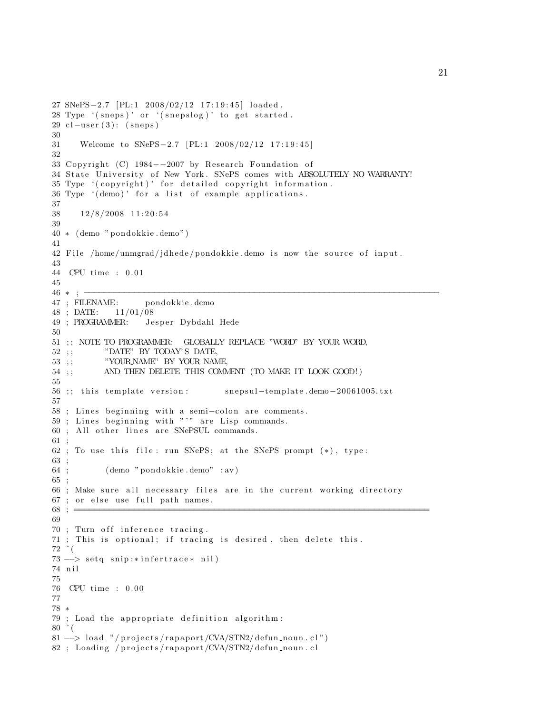```
27 SNePS-2.7 [PL:1 2008/02/12 17:19:45] loaded.
28 Type \lq (sneps) ' or \lq (snepslog) ' to get started.
29 cl-user (3): (sneps)
30
31 Welcome to SNePS-2.7 [PL:1 2008/02/12 17:19:45]
32
33 Copyright (C) 1984−−2007 by Research Foundation of
34 State University of New York. SNePS comes with ABSOLUTELY NO WARRANTY!
35 Type '(copyright)' for detailed copyright information.
36 Type '(demo)' for a list of example applications.
37
38 12/8/2008 11:20:5439
40 ∗ ( demo " pondokkie . demo " )
41
42 File /home/unmgrad/jdhede/pondokkie.demo is now the source of input.
43
44 CPU time : 0. 0 1
45
46 ∗ ; =======================================================================
47 ; FILENAME: pondokkie . demo
48 ; DATE: 11/01/08
49 ; PROGRAMMER: Jesper Dybdahl Hede
50
51 ; ; NOTE TO PROGRAMMER: GLOBALLY REPLACE "WORD" BY YOUR WORD,
52 ;;           "DATE" BY TODAY'S DATE,
53 ; ;           "YOUR.NAME" BY YOUR NAME,
54 ;; AND THEN DELETE THIS COMMENT (TO MAKE IT LOOK GOOD!)
55
56 ;; this template version: snepsul-template.demo-20061005.txt
57
58 ; Lines beginning with a semi-colon are comments.
59; Lines beginning with "\degree" are Lisp commands.
60 ; All other lines are SNePSUL commands.
61 ;
62 ; To use this file: run SNePS; at the SNePS prompt (*), type:
63 ;
64 ; ( demo " pondokkie . demo" : av )
65 ;
66 ; Make sure all necessary files are in the current working directory
67 ; or else use full path names.
68; \equiv69
70 ; Turn off inference tracing.
71 ; This is optional; if tracing is desired, then delete this.
72 \hat{ } (
73 --> setq snip:*infertrace* nil)
74 n i l
75
76 CPU time : 0. 0 0
77
78 ∗
79 ; Load the appropriate definition algorithm:
80 \hat{ } (
81 --> load "/projects/rapaport/CVA/STN2/defun_noun.cl")
82 ; Loading / projects/rapaport/CVA/STN2/defun_noun.cl
```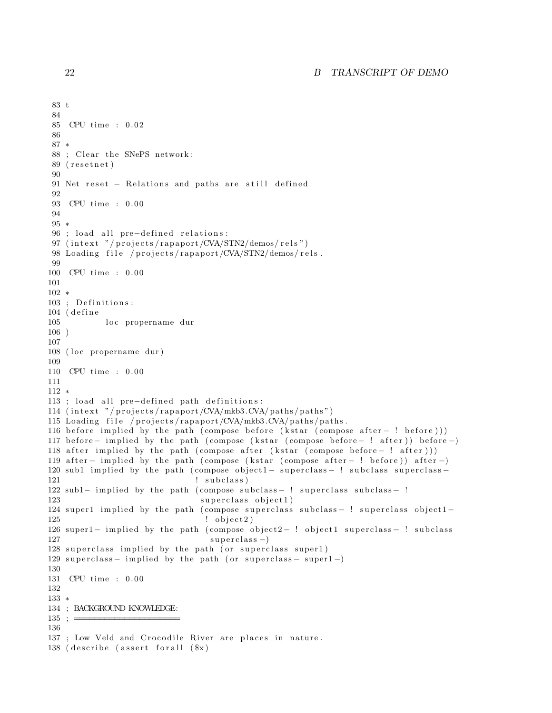### 22 B TRANSCRIPT OF DEMO

```
83 t
84
85 CPU time : 0. 0 2
86
87 ∗
88 ; Clear the SNePS network:
89 (resetnet)
90
91 Net reset – Relations and paths are still defined
92
93 CPU time : 0.00
94
95 ∗
96 ; load all pre-defined relations:
97 (intext "/projects/rapaport/CVA/STN2/demos/rels")
98 Loading file / projects/rapaport/CVA/STN2/demos/rels.
99
100 CPU time : 0.00
101
102 ∗
103 ; Definitions:
104 (define
105 loc propername dur
106 )
107
108 (loc propername dur)
109
110 CPU time : 0.00
111
112 ∗
113 ; load all pre-defined path definitions:
114 (intext "/projects/rapaport/CVA/mkb3.CVA/paths/paths")
115 Loading file / projects/rapaport/CVA/mkb3.CVA/paths/paths.
116 before implied by the path ( compose before (kstar ( compose after − ! before ) ) )
117 before – implied by the path (compose (kstar (compose before – ! after)) before –)
118 after implied by the path ( compose after (k star ( compose b efore - ! after ) ) )
119 after – implied by the path (compose (kstar (compose after – ! before)) after –)
120 sub1 implied by the path (compose object1 – superclass – ! subclass superclass –
121 : subclass)
122 sub1− implied by the path (compose subclass-! superclass subclass-!
123 superclass object1)
124 super1 implied by the path ( compose superclass subclass − ! superclass object1 –
125 \qquad \qquad \qquad \qquad \qquad \qquad \qquad \qquad \qquad \qquad \qquad \qquad \qquad \qquad \qquad \qquad \qquad \qquad \qquad \qquad \qquad \qquad \qquad \qquad \qquad \qquad \qquad \qquad \qquad \qquad \qquad \qquad \qquad \qquad \qquad \qquad \qquad126 super1- implied by the path (compose object2-! object1 superclass- ! subclass
127 superclass -)
128 superclass implied by the path (or superclass super1)
129 superclass – implied by the path (or superclass – super1 -)
130
131 CPU time : 0.00
132
133 ∗
134 ; BACKGROUND KNOWLEDGE:
135 ; =
136
137 ; Low Veld and Crocodile River are places in nature.
138 ( describe (assert for all (\$x)
```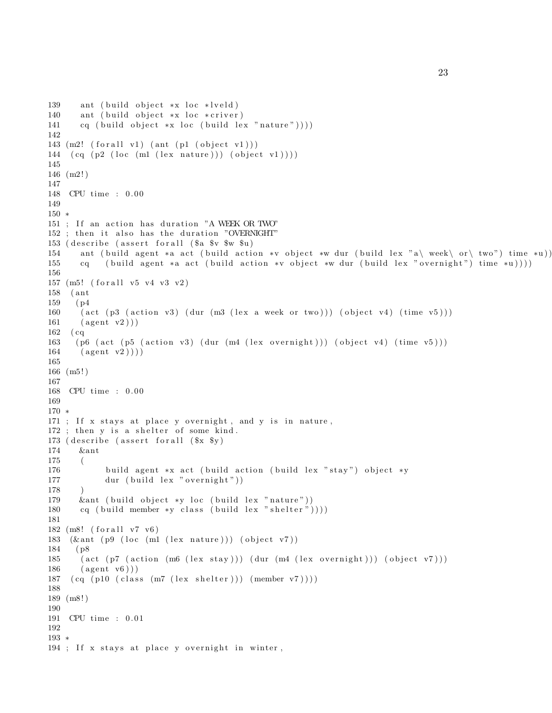```
139 ant ( build object *x loc *lveld)
140 ant ( build object *x loc *criver)
141 cq ( build object *x loc ( build lex "nature" ) ) ) )
142
143 (m2! \text{ (for all v1) (ant (p1 (object v1)))}144 \left( cq \left( p2 \left( loc \left( m1 \left( lex nature \right)) \left( object v1 \right)))
145
146 (m2! )
147
148 CPU time : 0.00
149
150 ∗
151 ; If an action has duration "A WEEK OR TWO"
152 ; then it also has the duration "OVERNIGHT"
153 ( describe (assert for all (\a \v \ _{w} \ _{u})
154 ant ( build agent *a act ( build action *v object *w dur ( build lex "a\ week\ or \ two") time *u))
155 cq ( build agent *a act ( build action *v object *w dur ( build lex " overnight") time *u))))
156
157 (m5! (for all v5 v4 v3 v2)
158 ( ant
159 ( p4
160 ( act ( p3 ( action v3) ( dur (m3 ( lex a week or two)) ) ( object v4) ( time v5) )
161 (agent v2))162 ( cq
163 ( p6 ( act ( p5 ( action v3) ( dur (m4 ( lex overnight))) ( object v4) ( time v5)))
164 \qquad \text{(agent v2)})
165
166 (m5! )
167
168 CPU time : 0. 0 0
169
170 ∗
171 ; If x stays at place y overnight, and y is in nature,
172 ; then y is a shelter of some kind.
173 ( describe ( assert for all ($x $y)
174 &ant
175 (
176 build agent *x act (build action (build lex "stay") object *y
177 dur ( build lex " overnight" ))
178 )
179 &ant ( build object *y loc ( build lex "nature"))
180 cq ( build member *y class ( build lex " shelter " ) ) ) )
181
182 (m8! (for all v7 v6)
183 (\&ant (p\left(9 (loc (m1 (lex nature))) (object v7))
184 ( p8
185 ( act ( p7 ( action (m6 \text{ (lex stay)})) ( dur (m4 \text{ (lex overnight)})) ( object v7)))
186 (agent v6))
187 (cq (p10 (class (m7 (lex sheet))) (member v7))))188
189 (m8! )
190
191 CPU time : 0. 0 1
192
193 ∗
194 ; If x stays at place y overnight in winter,
```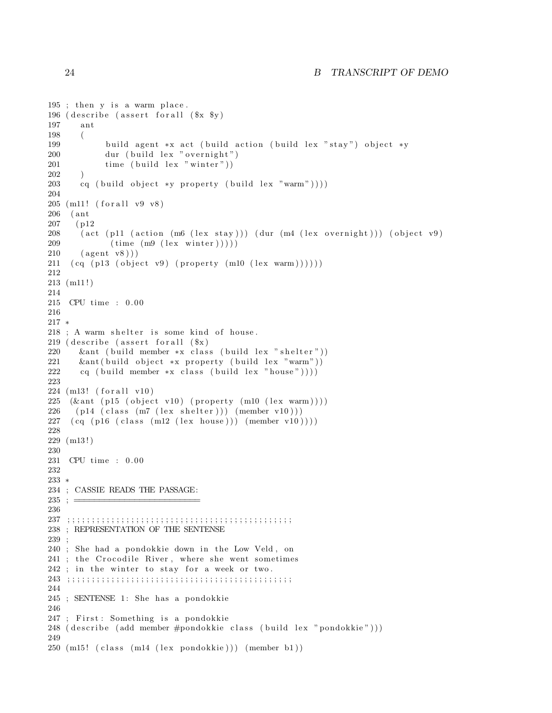```
195; then y is a warm place.
196 ( describe ( assert for all ($x \ $y)197 ant
198 (
199 build agent *x act (build action (build lex "stay") object *y
200 dur ( build lex " overnight")
201 time ( build lex " winter" ))
202 )
203 cq ( build object *y property ( build lex "warm") ) ) )
204
205 (m11! (for all v9 v8)
206 ( ant
207 ( p12
208 ( act ( p11 ( action (m6 ( lex stay ) ) ) ( dur (m4 ( lex overnight ) ) ) ( object v9)
209 ( time (m9 \text{ (lex winter)}))))
210 (agent v8))211 ( cq ( p13 ( object v9) ( property (m10 ( lex warm )))))
212
213 (m11 ! )
214
215 CPU time : 0.00
216
217 ∗
218 ; A warm shelter is some kind of house.
219 ( describe (assert for all (\$x)220 &ant ( build member *x class ( build lex " shelter " ))
221 &ant ( build object *x property ( build lex "warm"))
222 cq ( build member *x class ( build lex " house") ) )
223
224 (m13! (for all v10)
225 (\&ant (p15 (object v10) (property (m10 (lex warm))))
226 ( p14 ( class (m7 (lex shelter ))) (member v10)))
227 \left( cq \left( p16 \left( c l ass \left( m12 \left( l ex house \right)) \right) \left( member v10 \right)))
228
229 (m13 ! )
230
231 CPU time : 0.00
232
233 ∗
234 ; CASSIE READS THE PASSAGE:
235 ; =236
237 ; ; ; ; ; ; ; ; ; ; ; ; ; ; ; ; ; ; ; ; ; ; ; ; ; ; ; ; ; ; ; ; ; ; ; ; ; ; ; ; ; ; ; ; ; ;
238 ; REPRESENTATION OF THE SENTENSE
239 ;
240 ; She had a pondokkie down in the Low Veld, on
241 ; the Crocodile River, where she went sometimes
242 ; in the winter to stay for a week or two.
243 ; ; ; ; ; ; ; ; ; ; ; ; ; ; ; ; ; ; ; ; ; ; ; ; ; ; ; ; ; ; ; ; ; ; ; ; ; ; ; ; ; ; ; ; ; ;
244
245 ; SENTENSE 1: She has a pondokkie
246
247 ; First: Something is a pondokkie
248 ( describe ( add member #pondokkie class ( build lex " pondokkie" ) ) )
249
250 \text{ (m15! (class (m14 (lex pondokkie))) (member b1))}
```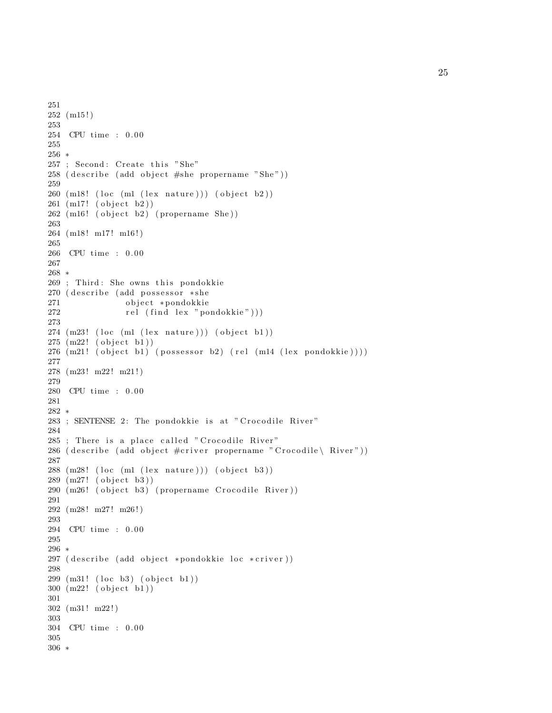```
251
252 (m15 ! )
253
254 CPU time : 0.00
255
256 ∗
257 ; Second: Create this "She"
258 (describe (add object #she propername "She"))
259
260 \text{ (m18! (loc (m1 (lex nature))) (object b2))}261 (m17! (object b2))
262 (m16! (object b2) (propername She))
263
264 (m18! m17! m16!)
265
266 CPU time : 0. 0 0
267
268 ∗
269 ; Third: She owns this pondokkie
270 ( describe (add possessor *she
271 object ∗pondokkie
272 rel (find lex "pondokkie")))
273
274 \ (m23! \ (loc \ (ml \ (lex \ nature))) \ (object \ b1))275 \, (m22! \, (object \, b1))276 (m21! (object b1) (possessor b2) (rel (m14 (lex pondokkie))))
277
278 (m23! m22! m21!)
279
280 CPU time : 0.00
281
282 ∗
283 ; SENTENSE 2: The pondokkie is at " Crocodile River"
284
285 ; There is a place called " Crocodile River"
286 ( describe ( add object #criver propername " Crocodile \ River" ) )
287
288 \text{ (m28! (loc (m1 (lex nature))) (object b3))}289 (m27! (object b3))
290 (m26! (object b3) (propername Crocodile River))
291
292 (m28! m27! m26!)
293
294 CPU time : 0.00
295
296 ∗
297 ( describe ( add object *pondokkie loc *criver ) )
298
299 (m31! (loc b3) (object b1))
300 (m22! (object b1))
301
302 (m31! m22!)
303
304 CPU time : 0.00
305
306 ∗
```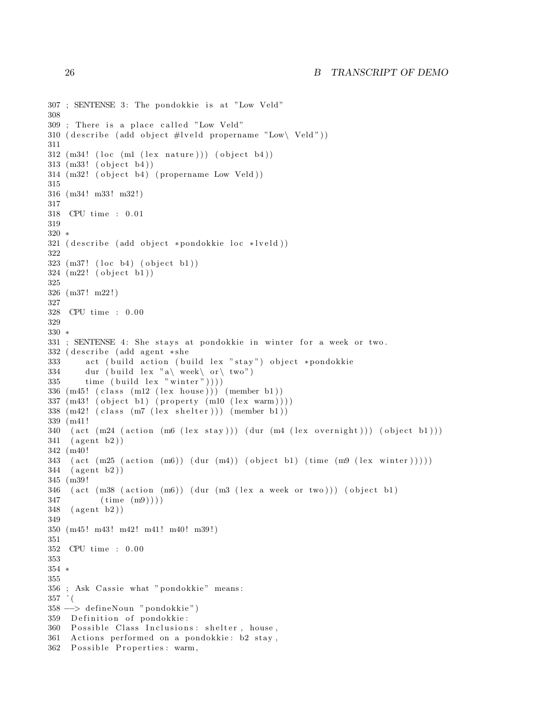```
307 ; SENTENSE 3: The pondokkie is at "Low Veld"
308
309 ; There is a place called "Low Veld"
310 ( describe ( add object \#I veld propername "Low\setminus Veld" ) )
311
312 \text{ (m34! (loc (m1 (lex nature))) (object b4))}313 \, (m33! \, (object \, b4))314 (m32! (object b4) (propername Low Veld))
315
316 (m34! m33! m32!)
317
318 CPU time : 0. 0 1
319
320 ∗
321 ( describe ( add object *pondokkie loc *lveld ) )
322
323 (m37! (loc b4) (object b1))
324 (m22! (object b1))
325
326 (m37 ! m22 ! )
327
328 CPU time : 0. 0 0
329
330 ∗
331 ; SENTENSE 4: She stays at pondokkie in winter for a week or two.
332 ( describe (add agent *she
333 act (build action (build lex "stay") object *pondokkie
334 dur ( build lex "a\ week\ or\ two" )
335 time ( build lex " winter " )))
336 (m45! ( class (m12 ( lex house ) ) ) ( member b1 ) )
337 \, \text{(m43! (object b1) (property (m10 (lex warm))))}338 (m42! ( class (m7 ( lex shelter ) ) ) ( member b1 ) )
339 (m41 !
340 (act (m24 (action (m6 (lex stay))) (dur (m4 (lex overnight))) (object b1)))
341 (agent b2))
342 (m40 !
343 ( act (m25 ( action (m6)) ( dur (m4)) ( object b1) ( time (m9 ( lex winter ) ) ) )
344 (agent b2))
345 (m39 !
346 (act (m38 (action (m6)) (dur (m3 (lex a week or two))) (object b1)
347 ( time (m9) ) )
348 (agent b2))
349
350 (m45! m43! m42! m41! m40! m39!)
351
352 CPU time : 0. 0 0
353
354 ∗
355
356 ; Ask Cassie what "pondokkie" means:
357 \text{ }^{\circ} (
358 −−> de fineNoun " pondokkie " )
359 Definition of pondokkie:
360 Possible Class Inclusions: shelter, house,
361 Actions performed on a pondokkie: b2 stay,
362 Possible Properties: warm,
```